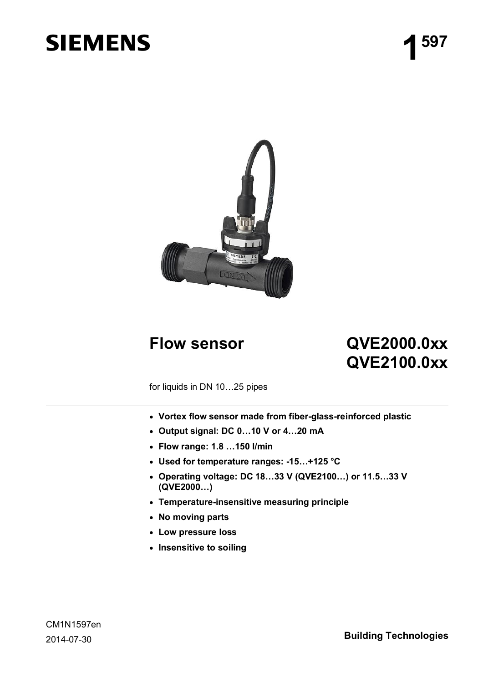# **SIEMENS**



## **Flow sensor QVE2000.0xx QVE2100.0xx**

for liquids in DN 10…25 pipes

- · **Vortex flow sensor made from fiber-glass-reinforced plastic**
- · **Output signal: DC 0…10 V or 4…20 mA**
- · **Flow range: 1.8 …150 l/min**
- · **Used for temperature ranges: -15…+125 °C**
- · **Operating voltage: DC 18…33 V (QVE2100…) or 11.5…33 V (QVE2000…)**
- · **Temperature-insensitive measuring principle**
- · **No moving parts**
- · **Low pressure loss**
- · **Insensitive to soiling**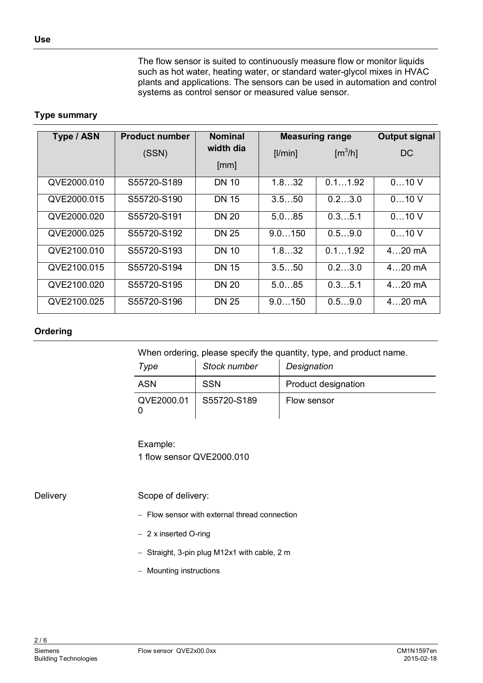The flow sensor is suited to continuously measure flow or monitor liquids such as hot water, heating water, or standard water-glycol mixes in HVAC plants and applications. The sensors can be used in automation and control systems as control sensor or measured value sensor.

#### <span id="page-1-0"></span>**Type summary**

| <b>Product number</b><br>Type / ASN |             | <b>Nominal</b> | <b>Measuring range</b> | <b>Output signal</b>   |          |
|-------------------------------------|-------------|----------------|------------------------|------------------------|----------|
|                                     | (SSN)       | width dia      | [ /min]                | $\text{[m}^3/\text{h}$ | DC       |
|                                     |             | [mm]           |                        |                        |          |
| QVE2000.010                         | S55720-S189 | DN 10          | 1.832                  | 0.11.92                | 010V     |
| QVE2000.015                         | S55720-S190 | <b>DN 15</b>   | 3.550                  | 0.23.0                 | 010V     |
| QVE2000.020                         | S55720-S191 | <b>DN 20</b>   | 5.085                  | 0.35.1                 | 010V     |
| QVE2000.025                         | S55720-S192 | <b>DN 25</b>   | 9.0150                 | 0.59.0                 | 010V     |
| QVE2100.010                         | S55720-S193 | DN 10          | 1.832                  | 0.11.92                | $420$ mA |
| QVE2100.015                         | S55720-S194 | <b>DN 15</b>   | 3.550                  | 0.23.0                 | $420$ mA |
| QVE2100.020                         | S55720-S195 | <b>DN 20</b>   | 5.085                  | 0.35.1                 | $420$ mA |
| QVE2100.025                         | S55720-S196 | <b>DN 25</b>   | 9.0150                 | 0.59.0                 | $420$ mA |

#### **Ordering**

When ordering, please specify the quantity, type, and product name.

| Type       | Stock number | Designation                |
|------------|--------------|----------------------------|
| <b>ASN</b> | <b>SSN</b>   | <b>Product designation</b> |
| QVE2000.01 | S55720-S189  | Flow sensor                |

Example: 1 flow sensor QVE2000.010

**Delivery** 

Scope of delivery:

- Flow sensor with external thread connection
- 2 x inserted O-ring
- Straight, 3-pin plug M12x1 with cable, 2 m
- Mounting instructions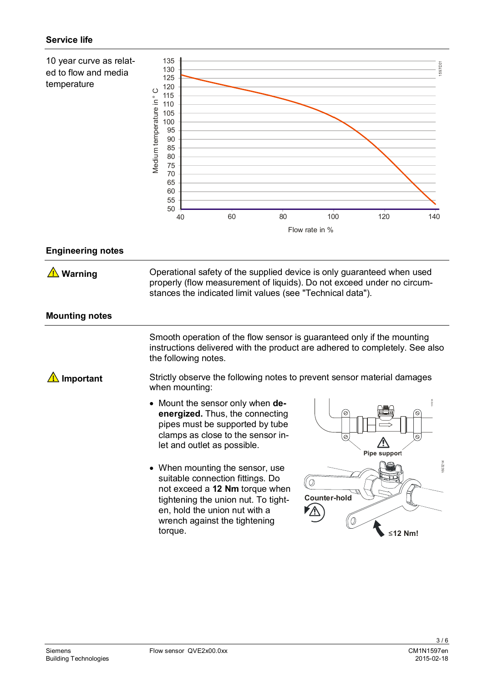

#### **Engineering notes**

Operational safety of the supplied device is only guaranteed when used properly (flow measurement of liquids). Do not exceed under no circumstances the indicated limit values (see "Technical data").  **Warning**

#### **Mounting notes**

Smooth operation of the flow sensor is guaranteed only if the mounting instructions delivered with the product are adhered to completely. See also the following notes.

Strictly observe the following notes to prevent sensor material damages when mounting:  **Important**

- · Mount the sensor only when **deenergized.** Thus, the connecting pipes must be supported by tube clamps as close to the sensor inlet and outlet as possible.
- When mounting the sensor, use suitable connection fittings. Do not exceed a **12 Nm** torque when tightening the union nut. To tighten, hold the union nut with a wrench against the tightening torque.

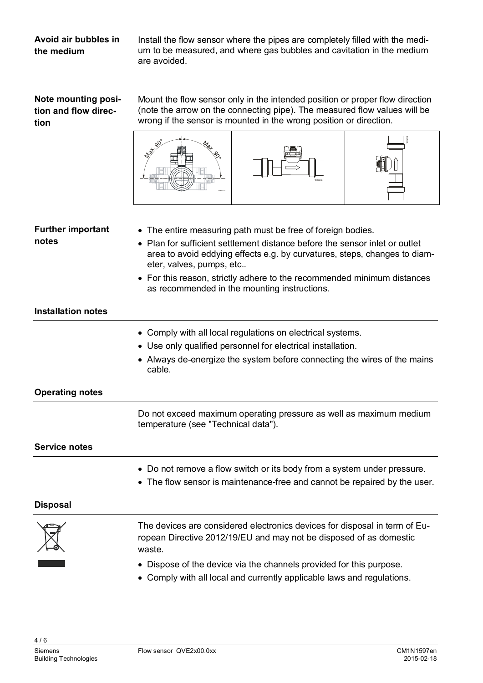#### **Avoid air bubbles in the medium**

Install the flow sensor where the pipes are completely filled with the medium to be measured, and where gas bubbles and cavitation in the medium are avoided.

| Note mounting posi-  |  |
|----------------------|--|
| tion and flow direc- |  |
| tion                 |  |

Mount the flow sensor only in the intended position or proper flow direction (note the arrow on the connecting pipe). The measured flow values will be wrong if the sensor is mounted in the wrong position or direction.



#### **Further important notes**

- · The entire measuring path must be free of foreign bodies.
- · Plan for sufficient settlement distance before the sensor inlet or outlet area to avoid eddying effects e.g. by curvatures, steps, changes to diameter, valves, pumps, etc..
- · For this reason, strictly adhere to the recommended minimum distances as recommended in the mounting instructions.

#### **Installation notes**

- · Comply with all local regulations on electrical systems.
- · Use only qualified personnel for electrical installation.
- · Always de-energize the system before connecting the wires of the mains cable.

#### **Operating notes**

Do not exceed maximum operating pressure as well as maximum medium temperature (see "Technical data").

#### **Service notes**

- · Do not remove a flow switch or its body from a system under pressure.
- · The flow sensor is maintenance-free and cannot be repaired by the user.

#### **Disposal**

The devices are considered electronics devices for disposal in term of European Directive 2012/19/EU and may not be disposed of as domestic waste.

- · Dispose of the device via the channels provided for this purpose.
- · Comply with all local and currently applicable laws and regulations.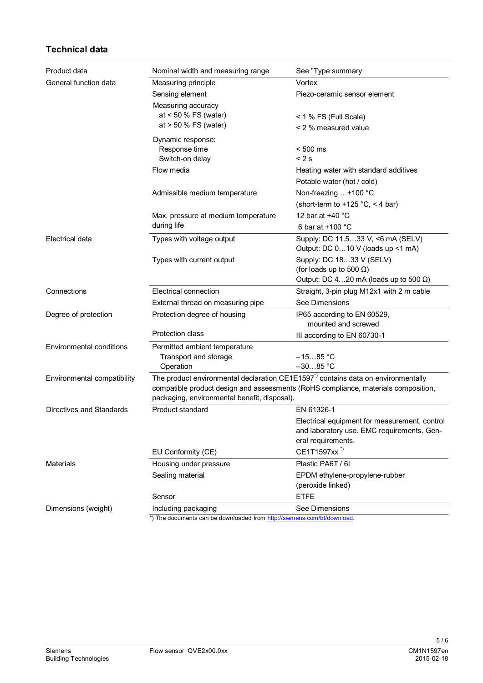#### **Technical data**

| Product data                | Nominal width and measuring range                                        | See "Type summary                                                                                                                                                                    |  |  |  |
|-----------------------------|--------------------------------------------------------------------------|--------------------------------------------------------------------------------------------------------------------------------------------------------------------------------------|--|--|--|
| General function data       | Measuring principle                                                      | Vortex                                                                                                                                                                               |  |  |  |
|                             | Sensing element                                                          | Piezo-ceramic sensor element                                                                                                                                                         |  |  |  |
|                             | Measuring accuracy<br>at $< 50 \%$ FS (water)<br>at $> 50 \%$ FS (water) | < 1 % FS (Full Scale)<br>< 2 % measured value                                                                                                                                        |  |  |  |
|                             | Dynamic response:                                                        |                                                                                                                                                                                      |  |  |  |
|                             | Response time                                                            | $< 500$ ms                                                                                                                                                                           |  |  |  |
|                             | Switch-on delay                                                          | < 2s                                                                                                                                                                                 |  |  |  |
|                             | Flow media                                                               | Heating water with standard additives                                                                                                                                                |  |  |  |
|                             |                                                                          | Potable water (hot / cold)                                                                                                                                                           |  |  |  |
|                             | Admissible medium temperature                                            | Non-freezing +100 °C                                                                                                                                                                 |  |  |  |
|                             |                                                                          | (short-term to +125 $°C$ , < 4 bar)                                                                                                                                                  |  |  |  |
|                             | Max. pressure at medium temperature                                      | 12 bar at +40 °C                                                                                                                                                                     |  |  |  |
|                             | during life                                                              | 6 bar at $+100$ °C                                                                                                                                                                   |  |  |  |
| Electrical data             | Types with voltage output                                                | Supply: DC 11.533 V, <6 mA (SELV)<br>Output: DC 010 V (loads up <1 mA)                                                                                                               |  |  |  |
|                             | Types with current output                                                | Supply: DC 1833 V (SELV)<br>(for loads up to 500 $\Omega$ )<br>Output: DC 420 mA (loads up to 500 $\Omega$ )                                                                         |  |  |  |
| Connections                 | Electrical connection                                                    | Straight, 3-pin plug M12x1 with 2 m cable                                                                                                                                            |  |  |  |
|                             | External thread on measuring pipe                                        | See Dimensions                                                                                                                                                                       |  |  |  |
|                             |                                                                          |                                                                                                                                                                                      |  |  |  |
| Degree of protection        | Protection degree of housing                                             | IP65 according to EN 60529,<br>mounted and screwed                                                                                                                                   |  |  |  |
|                             | Protection class                                                         | III according to EN 60730-1                                                                                                                                                          |  |  |  |
| Environmental conditions    | Permitted ambient temperature                                            |                                                                                                                                                                                      |  |  |  |
|                             | Transport and storage                                                    | $-1585 °C$                                                                                                                                                                           |  |  |  |
|                             | Operation                                                                | $-3085 °C$                                                                                                                                                                           |  |  |  |
| Environmental compatibility | packaging, environmental benefit, disposal).                             | The product environmental declaration CE1E1597 <sup>*</sup> ) contains data on environmentally<br>compatible product design and assessments (RoHS compliance, materials composition, |  |  |  |
| Directives and Standards    | Product standard                                                         | EN 61326-1                                                                                                                                                                           |  |  |  |
|                             |                                                                          | Electrical equipment for measurement, control<br>and laboratory use. EMC requirements. Gen-<br>eral requirements.                                                                    |  |  |  |
|                             | EU Conformity (CE)                                                       | CE1T1597xx <sup>*)</sup>                                                                                                                                                             |  |  |  |
| <b>Materials</b>            | Housing under pressure                                                   | Plastic PA6T / 6I                                                                                                                                                                    |  |  |  |
|                             | Sealing material                                                         | EPDM ethylene-propylene-rubber                                                                                                                                                       |  |  |  |
|                             |                                                                          | (peroxide linked)                                                                                                                                                                    |  |  |  |
|                             | Sensor                                                                   | <b>ETFE</b>                                                                                                                                                                          |  |  |  |
| Dimensions (weight)         | Including packaging                                                      | See Dimensions                                                                                                                                                                       |  |  |  |
|                             | *) The documents can be downloaded from http://siemens.com/bt/download   |                                                                                                                                                                                      |  |  |  |